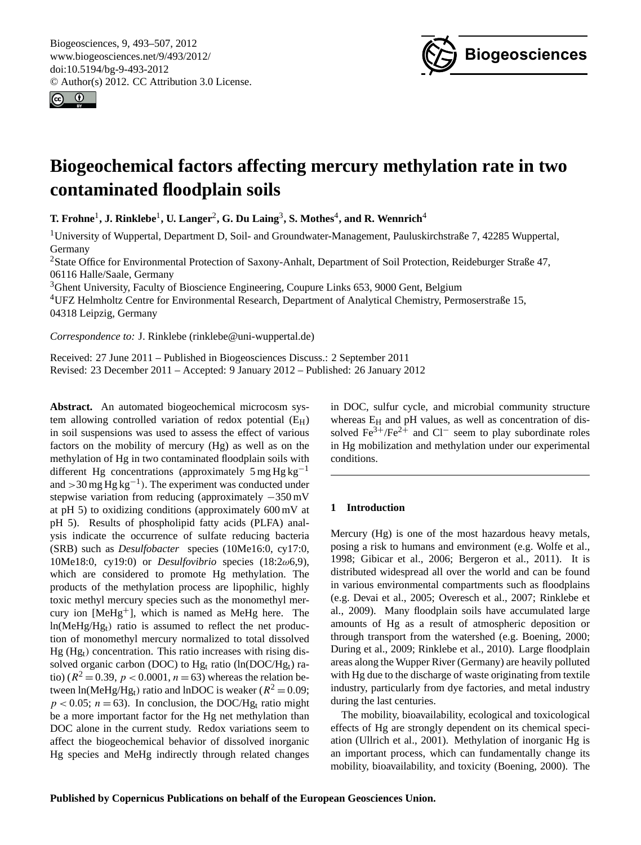<span id="page-0-0"></span>Biogeosciences, 9, 493–507, 2012 www.biogeosciences.net/9/493/2012/ doi:10.5194/bg-9-493-2012 © Author(s) 2012. CC Attribution 3.0 License.





# **Biogeochemical factors affecting mercury methylation rate in two contaminated floodplain soils**

 $\bf{T}$ . Frohne<sup>1</sup>, J. Rinklebe<sup>1</sup>, U. Langer<sup>2</sup>, G. Du Laing<sup>3</sup>, S. Mothes<sup>4</sup>, and R. Wennrich<sup>4</sup>

<sup>1</sup>University of Wuppertal, Department D, Soil- and Groundwater-Management, Pauluskirchstraße 7, 42285 Wuppertal, Germany

<sup>2</sup>State Office for Environmental Protection of Saxony-Anhalt, Department of Soil Protection, Reideburger Straße 47, 06116 Halle/Saale, Germany

<sup>3</sup>Ghent University, Faculty of Bioscience Engineering, Coupure Links 653, 9000 Gent, Belgium

<sup>4</sup>UFZ Helmholtz Centre for Environmental Research, Department of Analytical Chemistry, Permoserstraße 15, 04318 Leipzig, Germany

*Correspondence to:* J. Rinklebe (rinklebe@uni-wuppertal.de)

Received: 27 June 2011 – Published in Biogeosciences Discuss.: 2 September 2011 Revised: 23 December 2011 – Accepted: 9 January 2012 – Published: 26 January 2012

**Abstract.** An automated biogeochemical microcosm system allowing controlled variation of redox potential  $(E_H)$ in soil suspensions was used to assess the effect of various factors on the mobility of mercury (Hg) as well as on the methylation of Hg in two contaminated floodplain soils with different Hg concentrations (approximately  $5 \text{ mg Hg kg}^{-1}$ and >30 mg Hg kg<sup>-1</sup>). The experiment was conducted under stepwise variation from reducing (approximately −350 mV at pH 5) to oxidizing conditions (approximately 600 mV at pH 5). Results of phospholipid fatty acids (PLFA) analysis indicate the occurrence of sulfate reducing bacteria (SRB) such as *Desulfobacter* species (10Me16:0, cy17:0, 10Me18:0, cy19:0) or *Desulfovibrio* species (18:2ω6,9), which are considered to promote Hg methylation. The products of the methylation process are lipophilic, highly toxic methyl mercury species such as the monomethyl mercury ion  $[MeHg<sup>+</sup>]$ , which is named as MeHg here. The ln(MeHg/Hgt) ratio is assumed to reflect the net production of monomethyl mercury normalized to total dissolved  $Hg$  (Hg<sub>t</sub>) concentration. This ratio increases with rising dissolved organic carbon (DOC) to  $Hg_t$  ratio (ln(DOC/H $g_t$ ) ratio) ( $R^2 = 0.39$ ,  $p < 0.0001$ ,  $n = 63$ ) whereas the relation between  $\ln(MeHg/Hg_t)$  ratio and  $\ln$ DOC is weaker ( $R^2 = 0.09$ ;  $p < 0.05$ ;  $n = 63$ ). In conclusion, the DOC/Hg<sub>t</sub> ratio might be a more important factor for the Hg net methylation than DOC alone in the current study. Redox variations seem to affect the biogeochemical behavior of dissolved inorganic Hg species and MeHg indirectly through related changes in DOC, sulfur cycle, and microbial community structure whereas  $E_H$  and pH values, as well as concentration of dissolved Fe<sup>3+</sup>/Fe<sup>2+</sup> and Cl<sup>−</sup> seem to play subordinate roles in Hg mobilization and methylation under our experimental conditions.

# **1 Introduction**

Mercury (Hg) is one of the most hazardous heavy metals, posing a risk to humans and environment (e.g. Wolfe et al., 1998; Gibicar et al., 2006; Bergeron et al., 2011). It is distributed widespread all over the world and can be found in various environmental compartments such as floodplains (e.g. Devai et al., 2005; Overesch et al., 2007; Rinklebe et al., 2009). Many floodplain soils have accumulated large amounts of Hg as a result of atmospheric deposition or through transport from the watershed (e.g. Boening, 2000; During et al., 2009; Rinklebe et al., 2010). Large floodplain areas along the Wupper River (Germany) are heavily polluted with Hg due to the discharge of waste originating from textile industry, particularly from dye factories, and metal industry during the last centuries.

The mobility, bioavailability, ecological and toxicological effects of Hg are strongly dependent on its chemical speciation (Ullrich et al., 2001). Methylation of inorganic Hg is an important process, which can fundamentally change its mobility, bioavailability, and toxicity (Boening, 2000). The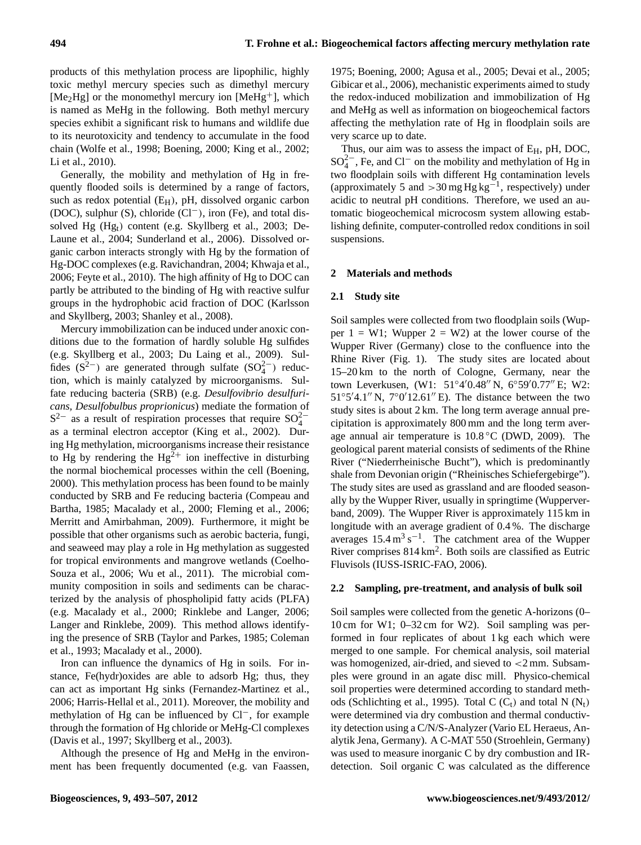products of this methylation process are lipophilic, highly toxic methyl mercury species such as dimethyl mercury  $[Me<sub>2</sub>Hg]$  or the monomethyl mercury ion  $[MeHg<sup>+</sup>]$ , which is named as MeHg in the following. Both methyl mercury species exhibit a significant risk to humans and wildlife due to its neurotoxicity and tendency to accumulate in the food chain (Wolfe et al., 1998; Boening, 2000; King et al., 2002; Li et al., 2010).

Generally, the mobility and methylation of Hg in frequently flooded soils is determined by a range of factors, such as redox potential  $(E_H)$ , pH, dissolved organic carbon (DOC), sulphur (S), chloride (Cl−), iron (Fe), and total dissolved Hg (Hgt) content (e.g. Skyllberg et al., 2003; De-Laune et al., 2004; Sunderland et al., 2006). Dissolved organic carbon interacts strongly with Hg by the formation of Hg-DOC complexes (e.g. Ravichandran, 2004; Khwaja et al., 2006; Feyte et al., 2010). The high affinity of Hg to DOC can partly be attributed to the binding of Hg with reactive sulfur groups in the hydrophobic acid fraction of DOC (Karlsson and Skyllberg, 2003; Shanley et al., 2008).

Mercury immobilization can be induced under anoxic conditions due to the formation of hardly soluble Hg sulfides (e.g. Skyllberg et al., 2003; Du Laing et al., 2009). Sulfides  $(S<sup>2−</sup>)$  are generated through sulfate  $(SO<sub>4</sub><sup>2−</sup>)$  reduction, which is mainly catalyzed by microorganisms. Sulfate reducing bacteria (SRB) (e.g. *Desulfovibrio desulfuricans, Desulfobulbus proprionicus*) mediate the formation of  $S^{2-}$  as a result of respiration processes that require  $SO_4^{2-}$ as a terminal electron acceptor (King et al., 2002). During Hg methylation, microorganisms increase their resistance to Hg by rendering the  $Hg^2$ <sup>+</sup> ion ineffective in disturbing the normal biochemical processes within the cell (Boening, 2000). This methylation process has been found to be mainly conducted by SRB and Fe reducing bacteria (Compeau and Bartha, 1985; Macalady et al., 2000; Fleming et al., 2006; Merritt and Amirbahman, 2009). Furthermore, it might be possible that other organisms such as aerobic bacteria, fungi, and seaweed may play a role in Hg methylation as suggested for tropical environments and mangrove wetlands (Coelho-Souza et al., 2006; Wu et al., 2011). The microbial community composition in soils and sediments can be characterized by the analysis of phospholipid fatty acids (PLFA) (e.g. Macalady et al., 2000; Rinklebe and Langer, 2006; Langer and Rinklebe, 2009). This method allows identifying the presence of SRB (Taylor and Parkes, 1985; Coleman et al., 1993; Macalady et al., 2000).

Iron can influence the dynamics of Hg in soils. For instance, Fe(hydr)oxides are able to adsorb Hg; thus, they can act as important Hg sinks (Fernandez-Martinez et al., 2006; Harris-Hellal et al., 2011). Moreover, the mobility and methylation of Hg can be influenced by Cl−, for example through the formation of Hg chloride or MeHg-Cl complexes (Davis et al., 1997; Skyllberg et al., 2003).

Although the presence of Hg and MeHg in the environment has been frequently documented (e.g. van Faassen,

1975; Boening, 2000; Agusa et al., 2005; Devai et al., 2005; Gibicar et al., 2006), mechanistic experiments aimed to study the redox-induced mobilization and immobilization of Hg and MeHg as well as information on biogeochemical factors affecting the methylation rate of Hg in floodplain soils are very scarce up to date.

Thus, our aim was to assess the impact of  $E_H$ , pH, DOC,  $SO_4^{2-}$ , Fe, and Cl<sup>-</sup> on the mobility and methylation of Hg in two floodplain soils with different Hg contamination levels (approximately 5 and >30 mg Hg kg<sup>-1</sup>, respectively) under acidic to neutral pH conditions. Therefore, we used an automatic biogeochemical microcosm system allowing establishing definite, computer-controlled redox conditions in soil suspensions.

#### **2 Materials and methods**

#### **2.1 Study site**

Soil samples were collected from two floodplain soils (Wupper  $1 = W1$ ; Wupper  $2 = W2$ ) at the lower course of the Wupper River (Germany) close to the confluence into the Rhine River (Fig. 1). The study sites are located about 15–20 km to the north of Cologne, Germany, near the town Leverkusen, (W1: 51°4′0.48" N, 6°59′0.77" E; W2:  $51°5'4.1''$  N,  $7°0'12.61''$  E). The distance between the two study sites is about 2 km. The long term average annual precipitation is approximately 800 mm and the long term average annual air temperature is  $10.8\degree$ C (DWD, 2009). The geological parent material consists of sediments of the Rhine River ("Niederrheinische Bucht"), which is predominantly shale from Devonian origin ("Rheinisches Schiefergebirge"). The study sites are used as grassland and are flooded seasonally by the Wupper River, usually in springtime (Wupperverband, 2009). The Wupper River is approximately 115 km in longitude with an average gradient of 0.4 %. The discharge averages  $15.4 \text{ m}^3 \text{ s}^{-1}$ . The catchment area of the Wupper River comprises 814 km<sup>2</sup> . Both soils are classified as Eutric Fluvisols (IUSS-ISRIC-FAO, 2006).

#### **2.2 Sampling, pre-treatment, and analysis of bulk soil**

Soil samples were collected from the genetic A-horizons (0– 10 cm for W1; 0–32 cm for W2). Soil sampling was performed in four replicates of about 1 kg each which were merged to one sample. For chemical analysis, soil material was homogenized, air-dried, and sieved to <2 mm. Subsamples were ground in an agate disc mill. Physico-chemical soil properties were determined according to standard methods (Schlichting et al., 1995). Total C  $(C_t)$  and total N  $(N_t)$ were determined via dry combustion and thermal conductivity detection using a C/N/S-Analyzer (Vario EL Heraeus, Analytik Jena, Germany). A C-MAT 550 (Stroehlein, Germany) was used to measure inorganic C by dry combustion and IRdetection. Soil organic C was calculated as the difference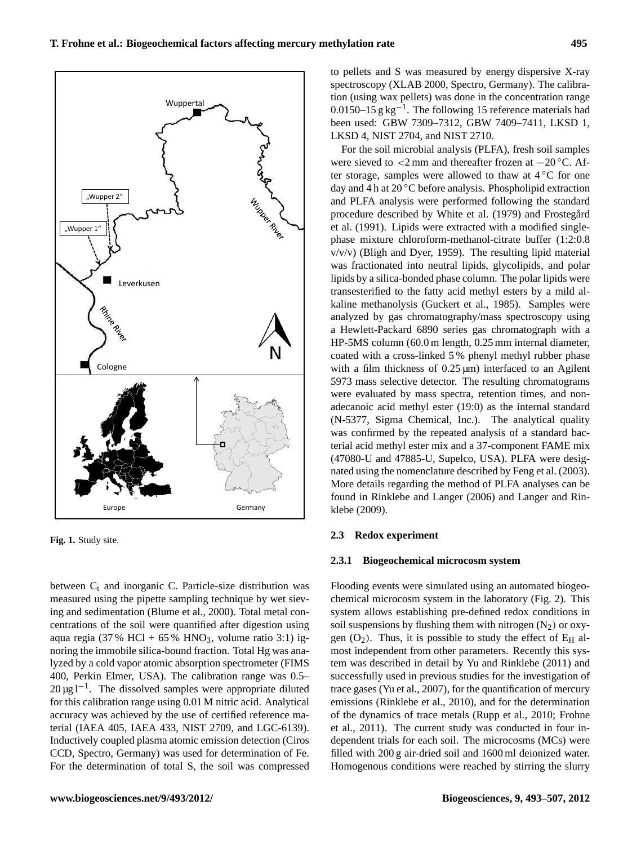between  $C_t$  and inorganic C. Particle-size distribution was measured using the pipette sampling technique by wet sieving and sedimentation (Blume et al., 2000). Total metal concentrations of the soil were quantified after digestion using aqua regia (37 % HCl + 65 % HNO<sub>3</sub>, volume ratio 3:1) ignoring the immobile silica-bound fraction. Total Hg was analyzed by a cold vapor atomic absorption spectrometer (FIMS 400, Perkin Elmer, USA). The calibration range was 0.5– 20 µg l<sup>-1</sup>. The dissolved samples were appropriate diluted for this calibration range using 0.01 M nitric acid. Analytical accuracy was achieved by the use of certified reference material (IAEA 405, IAEA 433, NIST 2709, and LGC-6139). Inductively coupled plasma atomic emission detection (Ciros CCD, Spectro, Germany) was used for determination of Fe. For the determination of total S, the soil was compressed

to pellets and S was measured by energy dispersive X-ray spectroscopy (XLAB 2000, Spectro, Germany). The calibration (using wax pellets) was done in the concentration range 0.0150–15  $g kg^{-1}$ . The following 15 reference materials had been used: GBW 7309–7312, GBW 7409–7411, LKSD 1, LKSD 4, NIST 2704, and NIST 2710.

For the soil microbial analysis (PLFA), fresh soil samples were sieved to  $\langle 2 \rangle$  mm and thereafter frozen at  $-20$  °C. After storage, samples were allowed to thaw at 4 ◦C for one day and 4 h at 20 ◦C before analysis. Phospholipid extraction and PLFA analysis were performed following the standard procedure described by White et al. (1979) and Frostegård et al. (1991). Lipids were extracted with a modified singlephase mixture chloroform-methanol-citrate buffer (1:2:0.8 v/v/v) (Bligh and Dyer, 1959). The resulting lipid material was fractionated into neutral lipids, glycolipids, and polar lipids by a silica-bonded phase column. The polar lipids were transesterified to the fatty acid methyl esters by a mild alkaline methanolysis (Guckert et al., 1985). Samples were analyzed by gas chromatography/mass spectroscopy using a Hewlett-Packard 6890 series gas chromatograph with a HP-5MS column (60.0 m length, 0.25 mm internal diameter, coated with a cross-linked 5 % phenyl methyl rubber phase with a film thickness of  $0.25 \,\text{\mu m}$  interfaced to an Agilent 5973 mass selective detector. The resulting chromatograms were evaluated by mass spectra, retention times, and nonadecanoic acid methyl ester (19:0) as the internal standard (N-5377, Sigma Chemical, Inc.). The analytical quality was confirmed by the repeated analysis of a standard bacterial acid methyl ester mix and a 37-component FAME mix (47080-U and 47885-U, Supelco, USA). PLFA were designated using the nomenclature described by Feng et al. (2003). More details regarding the method of PLFA analyses can be found in Rinklebe and Langer (2006) and Langer and Rinklebe (2009).

#### **2.3 Redox experiment**

#### **2.3.1 Biogeochemical microcosm system**

Flooding events were simulated using an automated biogeochemical microcosm system in the laboratory (Fig. 2). This system allows establishing pre-defined redox conditions in soil suspensions by flushing them with nitrogen  $(N_2)$  or oxygen  $(O_2)$ . Thus, it is possible to study the effect of  $E_H$  almost independent from other parameters. Recently this system was described in detail by Yu and Rinklebe (2011) and successfully used in previous studies for the investigation of trace gases (Yu et al., 2007), for the quantification of mercury emissions (Rinklebe et al., 2010), and for the determination of the dynamics of trace metals (Rupp et al., 2010; Frohne et al., 2011). The current study was conducted in four independent trials for each soil. The microcosms (MCs) were filled with 200 g air-dried soil and 1600 ml deionized water. Homogenous conditions were reached by stirring the slurry

**Fig. 1.** Study site.

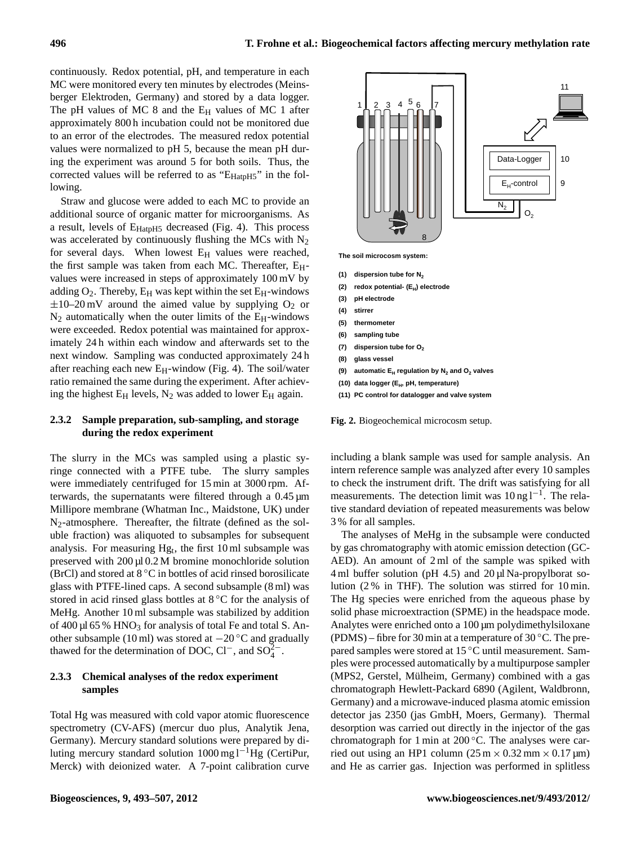continuously. Redox potential, pH, and temperature in each MC were monitored every ten minutes by electrodes (Meinsberger Elektroden, Germany) and stored by a data logger. The pH values of MC 8 and the  $E_H$  values of MC 1 after approximately 800 h incubation could not be monitored due to an error of the electrodes. The measured redox potential values were normalized to pH 5, because the mean pH during the experiment was around 5 for both soils. Thus, the corrected values will be referred to as " $E_{\text{HatpH5}}$ " in the following.

Straw and glucose were added to each MC to provide an additional source of organic matter for microorganisms. As a result, levels of  $E_{\text{HatpH5}}$  decreased (Fig. 4). This process was accelerated by continuously flushing the MCs with  $N_2$ for several days. When lowest  $E_H$  values were reached, the first sample was taken from each MC. Thereafter,  $E_H$ values were increased in steps of approximately 100 mV by adding  $O_2$ . Thereby,  $E_H$  was kept within the set  $E_H$ -windows  $\pm 10$ –20 mV around the aimed value by supplying O<sub>2</sub> or  $N_2$  automatically when the outer limits of the  $E_H$ -windows were exceeded. Redox potential was maintained for approximately 24 h within each window and afterwards set to the next window. Sampling was conducted approximately 24 h after reaching each new  $E_H$ -window (Fig. 4). The soil/water ratio remained the same during the experiment. After achieving the highest  $E_H$  levels,  $N_2$  was added to lower  $E_H$  again.

## **2.3.2 Sample preparation, sub-sampling, and storage during the redox experiment**

The slurry in the MCs was sampled using a plastic syringe connected with a PTFE tube. The slurry samples were immediately centrifuged for 15 min at 3000 rpm. Afterwards, the supernatants were filtered through a 0.45 µm Millipore membrane (Whatman Inc., Maidstone, UK) under N2-atmosphere. Thereafter, the filtrate (defined as the soluble fraction) was aliquoted to subsamples for subsequent analysis. For measuring  $Hg_t$ , the first 10 ml subsample was preserved with  $200 \mu$ l 0.2 M bromine monochloride solution (BrCl) and stored at  $8^{\circ}$ C in bottles of acid rinsed borosilicate glass with PTFE-lined caps. A second subsample (8 ml) was stored in acid rinsed glass bottles at 8 ◦C for the analysis of MeHg. Another 10 ml subsample was stabilized by addition of 400  $\mu$ l 65 % HNO<sub>3</sub> for analysis of total Fe and total S. Another subsample (10 ml) was stored at −20 ◦C and gradually thawed for the determination of DOC, Cl<sup>-</sup>, and SO<sup>2</sup><sup>-</sup>

## **2.3.3 Chemical analyses of the redox experiment samples**

Total Hg was measured with cold vapor atomic fluorescence spectrometry (CV-AFS) (mercur duo plus, Analytik Jena, Germany). Mercury standard solutions were prepared by diluting mercury standard solution 1000 mg l−1Hg (CertiPur, Merck) with deionized water. A 7-point calibration curve



**Fig. 2.** Biogeochemical microcosm setup.

including a blank sample was used for sample analysis. An intern reference sample was analyzed after every 10 samples to check the instrument drift. The drift was satisfying for all measurements. The detection limit was 10 ng l<sup>-1</sup>. The relative standard deviation of repeated measurements was below 3 % for all samples.

The analyses of MeHg in the subsample were conducted by gas chromatography with atomic emission detection (GC-AED). An amount of 2 ml of the sample was spiked with 4 ml buffer solution (pH 4.5) and 20 µl Na-propylborat solution (2 % in THF). The solution was stirred for 10 min. The Hg species were enriched from the aqueous phase by solid phase microextraction (SPME) in the headspace mode. Analytes were enriched onto a 100 µm polydimethylsiloxane (PDMS) – fibre for 30 min at a temperature of 30  $^{\circ}$ C. The prepared samples were stored at 15 ◦C until measurement. Samples were processed automatically by a multipurpose sampler (MPS2, Gerstel, Mülheim, Germany) combined with a gas chromatograph Hewlett-Packard 6890 (Agilent, Waldbronn, Germany) and a microwave-induced plasma atomic emission detector jas 2350 (jas GmbH, Moers, Germany). Thermal desorption was carried out directly in the injector of the gas chromatograph for 1 min at  $200\degree$ C. The analyses were carried out using an HP1 column  $(25 \text{ m} \times 0.32 \text{ mm} \times 0.17 \text{ µm})$ and He as carrier gas. Injection was performed in splitless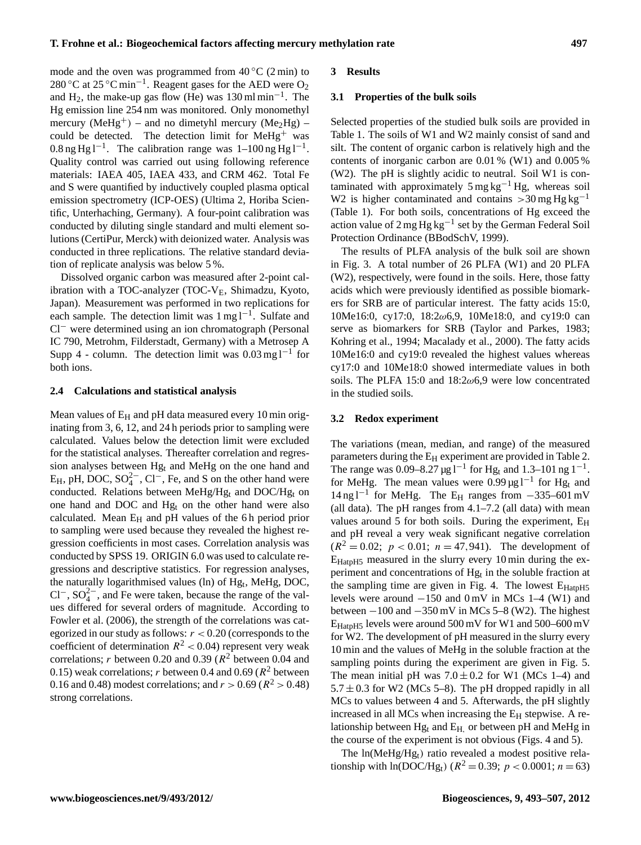mode and the oven was programmed from  $40^{\circ}$ C (2 min) to 280 °C at 25 °C min<sup>-1</sup>. Reagent gases for the AED were  $O_2$ and  $H_2$ , the make-up gas flow (He) was 130 ml min<sup>-1</sup>. The Hg emission line 254 nm was monitored. Only monomethyl mercury (MeHg<sup>+</sup>) – and no dimetyhl mercury (Me<sub>2</sub>Hg) – could be detected. The detection limit for MeHg<sup>+</sup> was  $0.8 \text{ ng Hg } 1^{-1}$ . The calibration range was  $1-100 \text{ ng Hg } 1^{-1}$ . Quality control was carried out using following reference materials: IAEA 405, IAEA 433, and CRM 462. Total Fe and S were quantified by inductively coupled plasma optical emission spectrometry (ICP-OES) (Ultima 2, Horiba Scientific, Unterhaching, Germany). A four-point calibration was conducted by diluting single standard and multi element solutions (CertiPur, Merck) with deionized water. Analysis was conducted in three replications. The relative standard deviation of replicate analysis was below 5 %.

Dissolved organic carbon was measured after 2-point calibration with a TOC-analyzer (TOC-VE, Shimadzu, Kyoto, Japan). Measurement was performed in two replications for each sample. The detection limit was 1 mg l<sup>-1</sup>. Sulfate and Cl<sup>−</sup> were determined using an ion chromatograph (Personal IC 790, Metrohm, Filderstadt, Germany) with a Metrosep A Supp 4 - column. The detection limit was  $0.03 \text{ mg l}^{-1}$  for both ions.

## **2.4 Calculations and statistical analysis**

Mean values of  $E_H$  and pH data measured every 10 min originating from 3, 6, 12, and 24 h periods prior to sampling were calculated. Values below the detection limit were excluded for the statistical analyses. Thereafter correlation and regression analyses between Hg<sup>t</sup> and MeHg on the one hand and  $E_H$ , pH, DOC, SO $_4^{2-}$ , Cl<sup>-</sup>, Fe, and S on the other hand were conducted. Relations between MeHg/Hg<sub>t</sub> and DOC/Hg<sub>t</sub> on one hand and DOC and  $Hg_t$  on the other hand were also calculated. Mean  $E_H$  and pH values of the 6h period prior to sampling were used because they revealed the highest regression coefficients in most cases. Correlation analysis was conducted by SPSS 19. ORIGIN 6.0 was used to calculate regressions and descriptive statistics. For regression analyses, the naturally logarithmised values (ln) of Hg<sub>t</sub>, MeHg, DOC, Cl<sup>-</sup>, SO<sub>4</sub><sup>2</sup><sup>-</sup>, and Fe were taken, because the range of the values differed for several orders of magnitude. According to Fowler et al. (2006), the strength of the correlations was categorized in our study as follows:  $r < 0.20$  (corresponds to the coefficient of determination  $R^2 < 0.04$ ) represent very weak correlations; *r* between 0.20 and 0.39 ( $R^2$  between 0.04 and 0.15) weak correlations; r between 0.4 and 0.69 ( $R^2$  between 0.16 and 0.48) modest correlations; and  $r > 0.69$  ( $R^2 > 0.48$ ) strong correlations.

#### **3 Results**

#### **3.1 Properties of the bulk soils**

Selected properties of the studied bulk soils are provided in Table 1. The soils of W1 and W2 mainly consist of sand and silt. The content of organic carbon is relatively high and the contents of inorganic carbon are 0.01 % (W1) and 0.005 % (W2). The pH is slightly acidic to neutral. Soil W1 is contaminated with approximately  $5 \text{ mg kg}^{-1}$  Hg, whereas soil W2 is higher contaminated and contains  $>30$  mg Hg kg<sup>-1</sup> (Table 1). For both soils, concentrations of Hg exceed the action value of 2 mg Hg kg−<sup>1</sup> set by the German Federal Soil Protection Ordinance (BBodSchV, 1999).

The results of PLFA analysis of the bulk soil are shown in Fig. 3. A total number of 26 PLFA (W1) and 20 PLFA (W2), respectively, were found in the soils. Here, those fatty acids which were previously identified as possible biomarkers for SRB are of particular interest. The fatty acids 15:0, 10Me16:0, cy17:0, 18:2ω6,9, 10Me18:0, and cy19:0 can serve as biomarkers for SRB (Taylor and Parkes, 1983; Kohring et al., 1994; Macalady et al., 2000). The fatty acids 10Me16:0 and cy19:0 revealed the highest values whereas cy17:0 and 10Me18:0 showed intermediate values in both soils. The PLFA 15:0 and  $18:2\omega$ 6,9 were low concentrated in the studied soils.

## **3.2 Redox experiment**

The variations (mean, median, and range) of the measured parameters during the  $E_H$  experiment are provided in Table 2. The range was 0.09–8.27  $\mu$ g l<sup>-1</sup> for Hg<sub>t</sub> and 1.3–101 ng l<sup>-1</sup>. for MeHg. The mean values were  $0.99 \mu g l^{-1}$  for Hg<sub>t</sub> and 14 ng l−<sup>1</sup> for MeHg. The E<sup>H</sup> ranges from −335–601 mV (all data). The pH ranges from  $4.1-7.2$  (all data) with mean values around 5 for both soils. During the experiment,  $E_H$ and pH reveal a very weak significant negative correlation  $(R^2 = 0.02; p < 0.01; n = 47,941)$ . The development of EHatpH5 measured in the slurry every 10 min during the experiment and concentrations of  $Hg_t$  in the soluble fraction at the sampling time are given in Fig. 4. The lowest  $E_{\text{HatpH5}}$ levels were around −150 and 0 mV in MCs 1–4 (W1) and between  $-100$  and  $-350$  mV in MCs 5–8 (W2). The highest EHatpH5 levels were around 500 mV for W1 and 500–600 mV for W2. The development of pH measured in the slurry every 10 min and the values of MeHg in the soluble fraction at the sampling points during the experiment are given in Fig. 5. The mean initial pH was  $7.0 \pm 0.2$  for W1 (MCs 1–4) and  $5.7 \pm 0.3$  for W2 (MCs 5–8). The pH dropped rapidly in all MCs to values between 4 and 5. Afterwards, the pH slightly increased in all MCs when increasing the  $E_H$  stepwise. A relationship between  $Hg_t$  and  $E_H$ , or between pH and MeHg in the course of the experiment is not obvious (Figs. 4 and 5).

The  $ln(MeHg/Hg_t)$  ratio revealed a modest positive relationship with  $ln(DOC/Hg_t)$  ( $R^2 = 0.39$ ;  $p < 0.0001$ ;  $n = 63$ )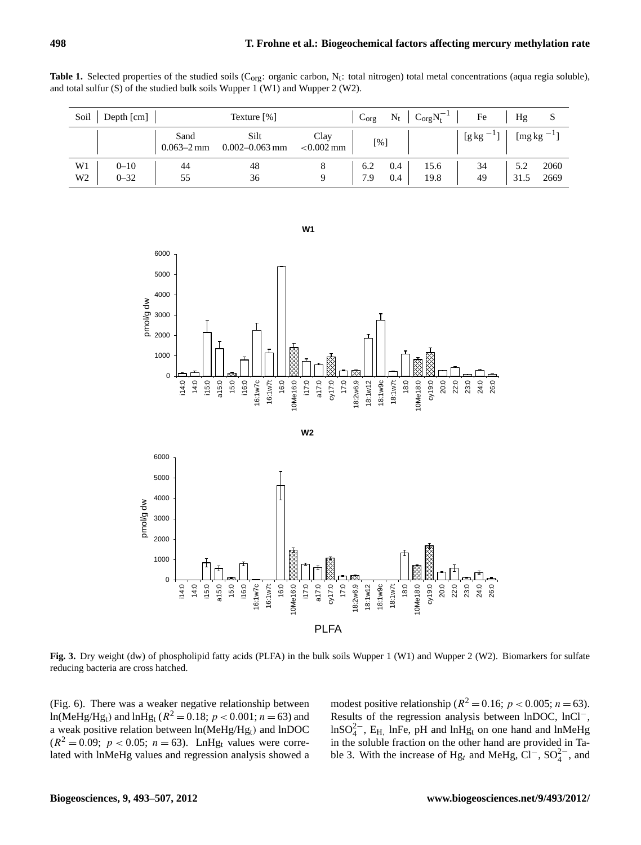|  |                                                                                   |  |  |  |  | <b>Table 1.</b> Selected properties of the studied soils (C <sub>org</sub> : organic carbon, N <sub>t</sub> : total nitrogen) total metal concentrations (aqua regia soluble), |  |  |
|--|-----------------------------------------------------------------------------------|--|--|--|--|--------------------------------------------------------------------------------------------------------------------------------------------------------------------------------|--|--|
|  | and total sulfur $(S)$ of the studied bulk soils Wupper 1 (W1) and Wupper 2 (W2). |  |  |  |  |                                                                                                                                                                                |  |  |

| Soil           | Depth $\lceil$ cm $\rceil$ | Texture $[%]$                  |                            | $\sim$ Corg N <sub>t</sub> <sup>-1</sup><br>$N_t$<br>$C_{org}$ |            |      | Fe                   | Hg   | S                   |
|----------------|----------------------------|--------------------------------|----------------------------|----------------------------------------------------------------|------------|------|----------------------|------|---------------------|
|                |                            | Sand<br>$0.063 - 2 \text{ mm}$ | Silt<br>$0.002 - 0.063$ mm | Clay<br>$< 0.002$ mm                                           | [%]        |      | $[g \, kg]$<br>$-11$ |      | [ $mg \, kg^{-1}$ ] |
| W1             | $0 - 10$                   | 44                             | 48                         |                                                                | 0.4<br>6.2 | 15.6 | 34                   | 5.2  | 2060                |
| W <sub>2</sub> | $0 - 32$                   | 55                             | 36                         |                                                                | 7.9<br>0.4 | 19.8 | 49                   | 31.5 | 2669                |



**Fig. 3.** Dry weight (dw) of phospholipid fatty acids (PLFA) in the bulk soils Wupper 1 (W1) and Wupper 2 (W2). Biomarkers for sulfate reducing bacteria are cross hatched.

(Fig. 6). There was a weaker negative relationship between  $ln(MeHg/Hg_t)$  and  $lnHg_t$  ( $R^2 = 0.18$ ;  $p < 0.001$ ;  $n = 63$ ) and a weak positive relation between  $ln(MeHg/Hg_t)$  and  $lnDOC$  $(R^2 = 0.09; p < 0.05; n = 63)$ . LnHg<sub>t</sub> values were correlated with lnMeHg values and regression analysis showed a

modest positive relationship ( $R^2 = 0.16$ ;  $p < 0.005$ ;  $n = 63$ ). Results of the regression analysis between lnDOC, lnCl−,  $ln SO_4^{2-}$ , E<sub>H,</sub> lnFe, pH and lnHg<sub>t</sub> on one hand and lnMeHg in the soluble fraction on the other hand are provided in Table 3. With the increase of Hg<sub>t</sub> and MeHg,  $\text{Cl}^-$ ,  $\text{SO}_4^{2-}$ , and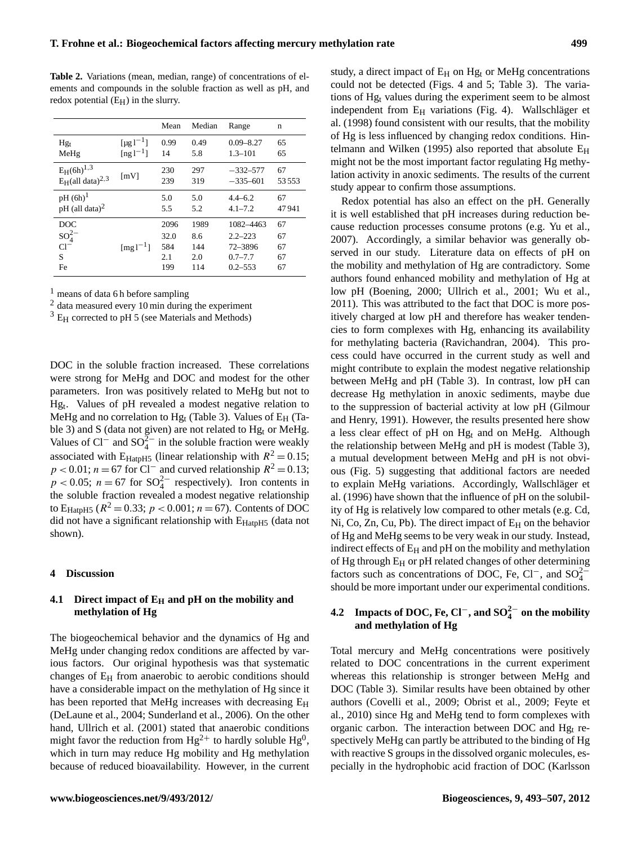**Table 2.** Variations (mean, median, range) of concentrations of elements and compounds in the soluble fraction as well as pH, and redox potential  $(E_H)$  in the slurry.

|                                 |                    | Mean | Median | Range         | n     |
|---------------------------------|--------------------|------|--------|---------------|-------|
| $Hg_t$                          | $[\mu g l^{-1}]$   | 0.99 | 0.49   | $0.09 - 8.27$ | 65    |
| MeHg                            | $[ng]^{-1}$        | 14   | 5.8    | $1.3 - 101$   | 65    |
| $E_H(6h)^{1,3}$                 |                    | 230  | 297    | $-332-577$    | 67    |
| $E_H$ (all data) <sup>2,3</sup> | $\lceil mV \rceil$ | 239  | 319    | $-335-601$    | 53553 |
| $pH (6h)^1$                     |                    | 5.0  | 5.0    | $4.4 - 6.2$   | 67    |
| $pH$ (all data) <sup>2</sup>    |                    | 5.5  | 5.2    | $4.1 - 7.2$   | 47941 |
| DOC                             |                    | 2096 | 1989   | 1082-4463     | 67    |
| $SO_4^{2-}$                     |                    | 32.0 | 8.6    | $2.2 - 223$   | 67    |
| $Cl^-$                          | $[mg1^{-1}]$       | 584  | 144    | 72-3896       | 67    |
| S                               |                    | 2.1  | 2.0    | $0.7 - 7.7$   | 67    |
| Fe                              |                    | 199  | 114    | $0.2 - 553$   | 67    |

 $<sup>1</sup>$  means of data 6 h before sampling</sup>

<sup>2</sup> data measured every 10 min during the experiment

 $3 E_{\rm H}$  corrected to pH 5 (see Materials and Methods)

DOC in the soluble fraction increased. These correlations were strong for MeHg and DOC and modest for the other parameters. Iron was positively related to MeHg but not to Hg<sup>t</sup> . Values of pH revealed a modest negative relation to MeHg and no correlation to Hg<sub>t</sub> (Table 3). Values of  $E_H$  (Table 3) and S (data not given) are not related to  $Hg_t$  or MeHg. Values of Cl<sup>-</sup> and SO<sub>4</sub><sup> $\frac{5}{4}$ </sup> in the soluble fraction were weakly associated with E<sub>HatpH5</sub> (linear relationship with  $R^2 = 0.15$ ;  $p < 0.01$ ;  $n = 67$  for Cl<sup>-</sup> and curved relationship  $R^2 = 0.13$ ;  $p < 0.05$ ;  $n = 67$  for  $SO_4^{2-}$  respectively). Iron contents in the soluble fraction revealed a modest negative relationship to E<sub>HatpH5</sub> ( $R^2 = 0.33$ ;  $p < 0.001$ ;  $n = 67$ ). Contents of DOC did not have a significant relationship with  $E_{\text{HatpH5}}$  (data not shown).

#### **4 Discussion**

## **4.1 Direct impact of E<sup>H</sup> and pH on the mobility and methylation of Hg**

The biogeochemical behavior and the dynamics of Hg and MeHg under changing redox conditions are affected by various factors. Our original hypothesis was that systematic changes of  $E_H$  from anaerobic to aerobic conditions should have a considerable impact on the methylation of Hg since it has been reported that MeHg increases with decreasing E<sub>H</sub> (DeLaune et al., 2004; Sunderland et al., 2006). On the other hand, Ullrich et al. (2001) stated that anaerobic conditions might favor the reduction from  $Hg^{2+}$  to hardly soluble  $Hg^0$ , which in turn may reduce Hg mobility and Hg methylation because of reduced bioavailability. However, in the current study, a direct impact of  $E_H$  on  $Hg_t$  or MeHg concentrations could not be detected (Figs. 4 and 5; Table 3). The variations of Hg<sub>t</sub> values during the experiment seem to be almost independent from  $E_H$  variations (Fig. 4). Wallschläger et al. (1998) found consistent with our results, that the mobility of Hg is less influenced by changing redox conditions. Hintelmann and Wilken (1995) also reported that absolute  $E_H$ might not be the most important factor regulating Hg methylation activity in anoxic sediments. The results of the current study appear to confirm those assumptions.

Redox potential has also an effect on the pH. Generally it is well established that pH increases during reduction because reduction processes consume protons (e.g. Yu et al., 2007). Accordingly, a similar behavior was generally observed in our study. Literature data on effects of pH on the mobility and methylation of Hg are contradictory. Some authors found enhanced mobility and methylation of Hg at low pH (Boening, 2000; Ullrich et al., 2001; Wu et al., 2011). This was attributed to the fact that DOC is more positively charged at low pH and therefore has weaker tendencies to form complexes with Hg, enhancing its availability for methylating bacteria (Ravichandran, 2004). This process could have occurred in the current study as well and might contribute to explain the modest negative relationship between MeHg and pH (Table 3). In contrast, low pH can decrease Hg methylation in anoxic sediments, maybe due to the suppression of bacterial activity at low pH (Gilmour and Henry, 1991). However, the results presented here show a less clear effect of pH on Hg<sup>t</sup> and on MeHg. Although the relationship between MeHg and pH is modest (Table 3), a mutual development between MeHg and pH is not obvious (Fig. 5) suggesting that additional factors are needed to explain MeHg variations. Accordingly, Wallschläger et al. (1996) have shown that the influence of pH on the solubility of Hg is relatively low compared to other metals (e.g. Cd, Ni, Co, Zn, Cu, Pb). The direct impact of  $E_H$  on the behavior of Hg and MeHg seems to be very weak in our study. Instead, indirect effects of  $E_H$  and pH on the mobility and methylation of Hg through E<sub>H</sub> or pH related changes of other determining factors such as concentrations of DOC, Fe, Cl<sup>-</sup>, and SO<sub>4</sub><sup>2</sup> should be more important under our experimental conditions.

# **4.2 Impacts of DOC, Fe, Cl**−**, and SO2**<sup>−</sup> **4 on the mobility and methylation of Hg**

Total mercury and MeHg concentrations were positively related to DOC concentrations in the current experiment whereas this relationship is stronger between MeHg and DOC (Table 3). Similar results have been obtained by other authors (Covelli et al., 2009; Obrist et al., 2009; Feyte et al., 2010) since Hg and MeHg tend to form complexes with organic carbon. The interaction between DOC and  $Hg_t$  respectively MeHg can partly be attributed to the binding of Hg with reactive S groups in the dissolved organic molecules, especially in the hydrophobic acid fraction of DOC (Karlsson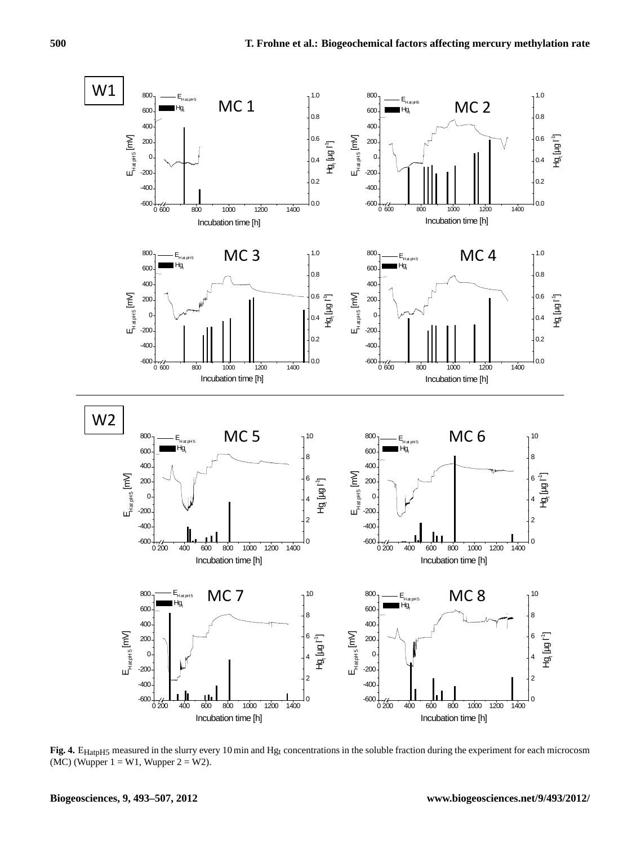

Fig. 4. E<sub>HatpH5</sub> measured in the slurry every 10 min and Hg<sub>t</sub> concentrations in the soluble fraction during the experiment for each microcosm (MC) (Wupper  $1 = W1$ , Wupper  $2 = W2$ ).

**Biogeosciences, 9, 493[–507,](#page-0-0) 2012 www.biogeosciences.net/9/493/2012/**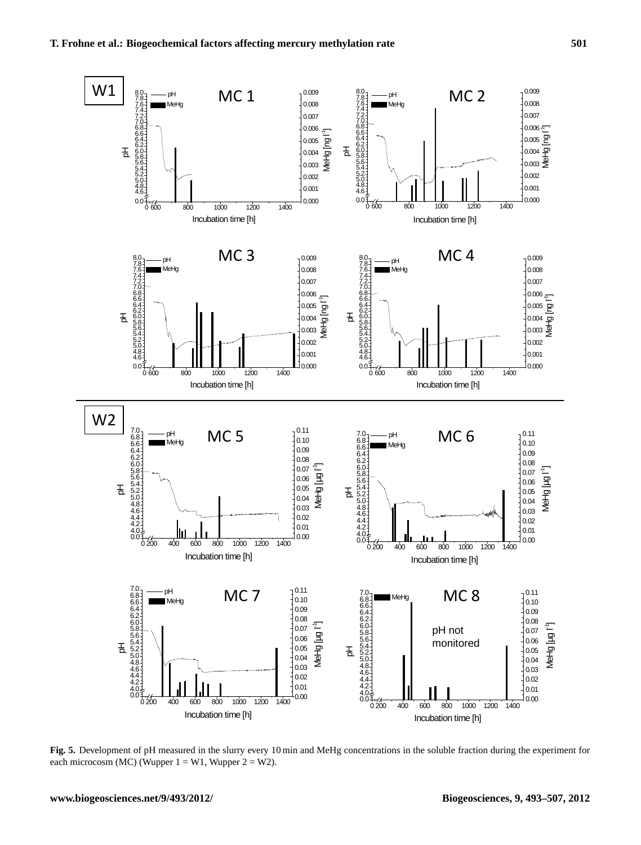

**Fig. 5.** Development of pH measured in the slurry every 10 min and MeHg concentrations in the soluble fraction during the experiment for each microcosm (MC) (Wupper  $1 = W1$ , Wupper  $2 = W2$ ).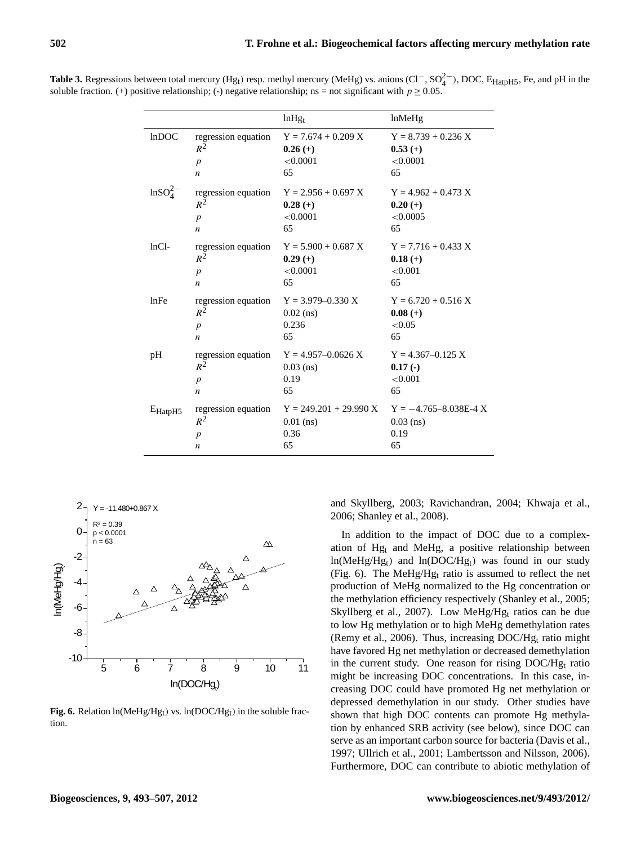| <b>Table 3.</b> Regressions between total mercury (Hg <sub>t</sub> ) resp. methyl mercury (MeHg) vs. anions (Cl <sup>-</sup> , SO <sub>4</sub> <sup>2</sup> ), DOC, E <sub>HatpH5</sub> , Fe, and pH in the |  |
|-------------------------------------------------------------------------------------------------------------------------------------------------------------------------------------------------------------|--|
| soluble fraction. (+) positive relationship; (-) negative relationship; ns = not significant with $p \ge 0.05$ .                                                                                            |  |

|                      |                                | $ln Hg_t$                                                                | lnMeHg                                               |
|----------------------|--------------------------------|--------------------------------------------------------------------------|------------------------------------------------------|
| lnDOC                | regression equation            | $Y = 7.674 + 0.209 X$                                                    | $Y = 8.739 + 0.236 X$                                |
|                      | $R^2$                          | $0.26(+)$                                                                | $0.53(+)$                                            |
|                      | $\boldsymbol{p}$               | < 0.0001                                                                 | < 0.0001                                             |
|                      | n                              | 65                                                                       | 65                                                   |
| $\text{lnSO}_4^{2-}$ | $R^2$<br>$\boldsymbol{p}$<br>n | regression equation $Y = 2.956 + 0.697 X$<br>$0.28(+)$<br>< 0.0001<br>65 | $Y = 4.962 + 0.473 X$<br>$0.20(+)$<br>< 0.0005<br>65 |
| $lnCl-$              | regression equation            | $Y = 5.900 + 0.687 X$                                                    | $Y = 7.716 + 0.433 X$                                |
|                      | $R^2$                          | $0.29(+)$                                                                | $0.18(+)$                                            |
|                      | $\boldsymbol{p}$               | < 0.0001                                                                 | < 0.001                                              |
|                      | n                              | 65                                                                       | 65                                                   |
| lnFe                 | regression equation            | $Y = 3.979 - 0.330 X$                                                    | $Y = 6.720 + 0.516 X$                                |
|                      | $R^2$                          | $0.02$ (ns)                                                              | $0.08 (+)$                                           |
|                      | $\boldsymbol{p}$               | 0.236                                                                    | < 0.05                                               |
|                      | n                              | 65                                                                       | 65                                                   |
| pH                   | regression equation            | $Y = 4.957 - 0.0626 X$                                                   | $Y = 4.367 - 0.125$ X                                |
|                      | $R^2$                          | $0.03$ (ns)                                                              | $0.17(-)$                                            |
|                      | $\boldsymbol{p}$               | 0.19                                                                     | < 0.001                                              |
|                      | n                              | 65                                                                       | 65                                                   |
| $E_{\text{HatpH5}}$  | regression equation            | $Y = 249.201 + 29.990 X$                                                 | $Y = -4.765 - 8.038E - 4X$                           |
|                      | $R^2$                          | $0.01$ (ns)                                                              | $0.03$ (ns)                                          |
|                      | $\boldsymbol{p}$               | 0.36                                                                     | 0.19                                                 |
|                      | $\boldsymbol{n}$               | 65                                                                       | 65                                                   |



**Fig. 6.** Relation  $ln(MeHg/Hg_t)$  vs.  $ln(DOC/Hg_t)$  in the soluble fraction.

and Skyllberg, 2003; Ravichandran, 2004; Khwaja et al., 2006; Shanley et al., 2008).

In addition to the impact of DOC due to a complexation of Hg<sup>t</sup> and MeHg, a positive relationship between  $ln(MeHg/Hg_t)$  and  $ln(DOC/Hg_t)$  was found in our study (Fig. 6). The MeHg/Hg<sup>t</sup> ratio is assumed to reflect the net production of MeHg normalized to the Hg concentration or the methylation efficiency respectively (Shanley et al., 2005; Skyllberg et al., 2007). Low MeHg/Hg<sup>t</sup> ratios can be due to low Hg methylation or to high MeHg demethylation rates (Remy et al., 2006). Thus, increasing  $DOC/Hg_t$  ratio might have favored Hg net methylation or decreased demethylation in the current study. One reason for rising  $DOC/Hg_t$  ratio might be increasing DOC concentrations. In this case, increasing DOC could have promoted Hg net methylation or depressed demethylation in our study. Other studies have shown that high DOC contents can promote Hg methylation by enhanced SRB activity (see below), since DOC can serve as an important carbon source for bacteria (Davis et al., 1997; Ullrich et al., 2001; Lambertsson and Nilsson, 2006). Furthermore, DOC can contribute to abiotic methylation of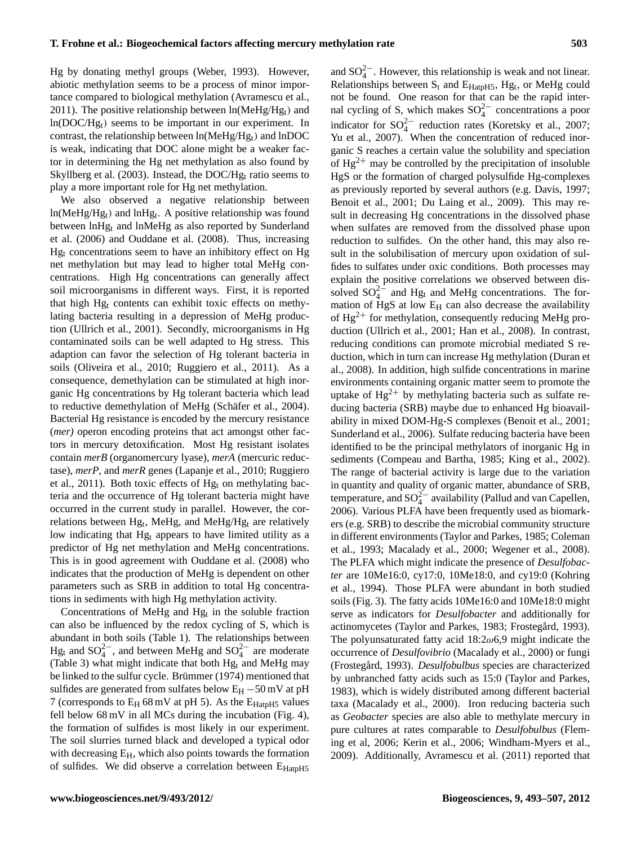Hg by donating methyl groups (Weber, 1993). However, abiotic methylation seems to be a process of minor importance compared to biological methylation (Avramescu et al., 2011). The positive relationship between  $ln(MeHg/Hg_t)$  and  $ln(DOC/Hg_t)$  seems to be important in our experiment. In contrast, the relationship between  $ln(MeHg/Hg_t)$  and  $lnDOC$ is weak, indicating that DOC alone might be a weaker factor in determining the Hg net methylation as also found by Skyllberg et al. (2003). Instead, the DOC/H $g_t$  ratio seems to play a more important role for Hg net methylation.

We also observed a negative relationship between  $ln(MeHg/Hg_t)$  and  $lnHg_t$ . A positive relationship was found between lnHgt and lnMeHg as also reported by Sunderland et al. (2006) and Ouddane et al. (2008). Thus, increasing Hg<sup>t</sup> concentrations seem to have an inhibitory effect on Hg net methylation but may lead to higher total MeHg concentrations. High Hg concentrations can generally affect soil microorganisms in different ways. First, it is reported that high Hg<sup>t</sup> contents can exhibit toxic effects on methylating bacteria resulting in a depression of MeHg production (Ullrich et al., 2001). Secondly, microorganisms in Hg contaminated soils can be well adapted to Hg stress. This adaption can favor the selection of Hg tolerant bacteria in soils (Oliveira et al., 2010; Ruggiero et al., 2011). As a consequence, demethylation can be stimulated at high inorganic Hg concentrations by Hg tolerant bacteria which lead to reductive demethylation of MeHg (Schäfer et al., 2004). Bacterial Hg resistance is encoded by the mercury resistance (*mer)* operon encoding proteins that act amongst other factors in mercury detoxification. Most Hg resistant isolates contain *merB* (organomercury lyase), *merA* (mercuric reductase), *merP*, and *merR* genes (Lapanje et al., 2010; Ruggiero et al., 2011). Both toxic effects of  $Hg_t$  on methylating bacteria and the occurrence of Hg tolerant bacteria might have occurred in the current study in parallel. However, the correlations between Hg<sub>t</sub>, MeHg, and MeHg/Hg<sub>t</sub> are relatively low indicating that Hg<sub>t</sub> appears to have limited utility as a predictor of Hg net methylation and MeHg concentrations. This is in good agreement with Ouddane et al. (2008) who indicates that the production of MeHg is dependent on other parameters such as SRB in addition to total Hg concentrations in sediments with high Hg methylation activity.

Concentrations of MeHg and  $Hg_t$  in the soluble fraction can also be influenced by the redox cycling of S, which is abundant in both soils (Table 1). The relationships between Hg<sub>t</sub> and SO<sup>2</sup><sup>-</sup>, and between MeHg and SO<sup>2</sup><sup>-</sup> are moderate (Table 3) what might indicate that both  $Hg_t$  and MeHg may be linked to the sulfur cycle. Brümmer (1974) mentioned that sulfides are generated from sulfates below E<sub>H</sub> −50 mV at pH 7 (corresponds to  $E_H$  68 mV at pH 5). As the  $E_{HatpH5}$  values fell below 68 mV in all MCs during the incubation (Fig. 4), the formation of sulfides is most likely in our experiment. The soil slurries turned black and developed a typical odor with decreasing  $E_H$ , which also points towards the formation of sulfides. We did observe a correlation between E<sub>HatpH5</sub>

and  $SO_4^{2-}$ . However, this relationship is weak and not linear. Relationships between  $S_t$  and  $E_{\text{HatpH5}}$ ,  $Hg_t$ , or MeHg could not be found. One reason for that can be the rapid internal cycling of S, which makes  $SO_4^{2-}$  concentrations a poor indicator for  $SO_4^{2-}$  reduction rates (Koretsky et al., 2007; Yu et al., 2007). When the concentration of reduced inorganic S reaches a certain value the solubility and speciation of  $Hg^{2+}$  may be controlled by the precipitation of insoluble HgS or the formation of charged polysulfide Hg-complexes as previously reported by several authors (e.g. Davis, 1997; Benoit et al., 2001; Du Laing et al., 2009). This may result in decreasing Hg concentrations in the dissolved phase when sulfates are removed from the dissolved phase upon reduction to sulfides. On the other hand, this may also result in the solubilisation of mercury upon oxidation of sulfides to sulfates under oxic conditions. Both processes may explain the positive correlations we observed between dissolved  $SO_4^{2-}$  and Hg<sub>t</sub> and MeHg concentrations. The formation of HgS at low  $E_H$  can also decrease the availability of  $Hg^{2+}$  for methylation, consequently reducing MeHg production (Ullrich et al., 2001; Han et al., 2008). In contrast, reducing conditions can promote microbial mediated S reduction, which in turn can increase Hg methylation (Duran et al., 2008). In addition, high sulfide concentrations in marine environments containing organic matter seem to promote the uptake of  $Hg^{2+}$  by methylating bacteria such as sulfate reducing bacteria (SRB) maybe due to enhanced Hg bioavailability in mixed DOM-Hg-S complexes (Benoit et al., 2001; Sunderland et al., 2006). Sulfate reducing bacteria have been identified to be the principal methylators of inorganic Hg in sediments (Compeau and Bartha, 1985; King et al., 2002). The range of bacterial activity is large due to the variation in quantity and quality of organic matter, abundance of SRB, temperature, and  $SO_4^{2-}$  availability (Pallud and van Capellen, 2006). Various PLFA have been frequently used as biomarkers (e.g. SRB) to describe the microbial community structure in different environments (Taylor and Parkes, 1985; Coleman et al., 1993; Macalady et al., 2000; Wegener et al., 2008). The PLFA which might indicate the presence of *Desulfobacter* are 10Me16:0, cy17:0, 10Me18:0, and cy19:0 (Kohring et al., 1994). Those PLFA were abundant in both studied soils (Fig. 3). The fatty acids 10Me16:0 and 10Me18:0 might serve as indicators for *Desulfobacter* and additionally for actinomycetes (Taylor and Parkes, 1983; Frostegård, 1993). The polyunsaturated fatty acid  $18:2\omega 6.9$  might indicate the occurrence of *Desulfovibrio* (Macalady et al., 2000) or fungi (Frostegård, 1993). *Desulfobulbus* species are characterized by unbranched fatty acids such as 15:0 (Taylor and Parkes, 1983), which is widely distributed among different bacterial taxa (Macalady et al., 2000). Iron reducing bacteria such as *Geobacter* species are also able to methylate mercury in pure cultures at rates comparable to *Desulfobulbus* (Fleming et al, 2006; Kerin et al., 2006; Windham-Myers et al., 2009). Additionally, Avramescu et al. (2011) reported that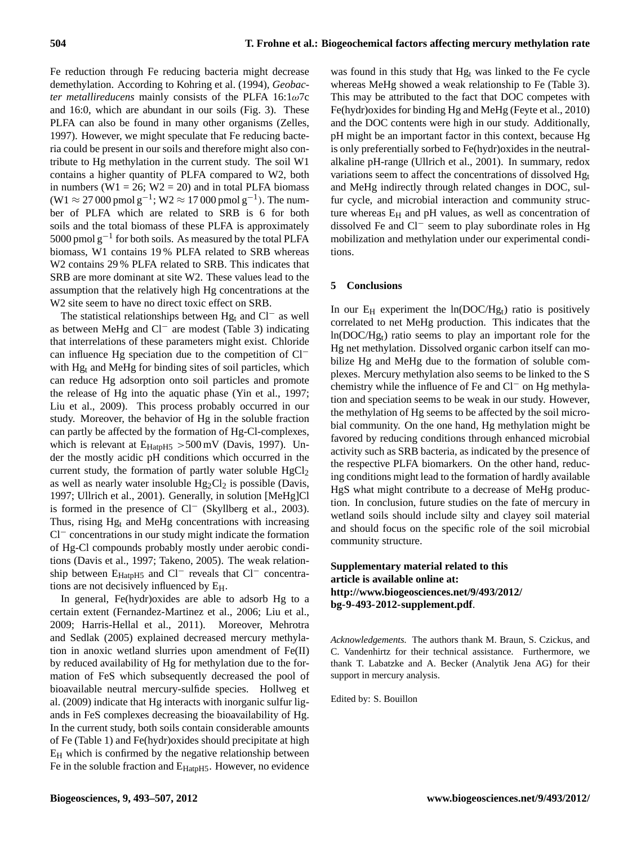Fe reduction through Fe reducing bacteria might decrease demethylation. According to Kohring et al. (1994), *Geobacter metallireducens* mainly consists of the PLFA 16:1ω7c and 16:0, which are abundant in our soils (Fig. 3). These PLFA can also be found in many other organisms (Zelles, 1997). However, we might speculate that Fe reducing bacteria could be present in our soils and therefore might also contribute to Hg methylation in the current study. The soil W1 contains a higher quantity of PLFA compared to W2, both in numbers (W1 = 26; W2 = 20) and in total PLFA biomass (W1 ≈ 27 000 pmol g<sup>-1</sup>; W2 ≈ 17 000 pmol g<sup>-1</sup>). The number of PLFA which are related to SRB is 6 for both soils and the total biomass of these PLFA is approximately 5000 pmol g<sup>-1</sup> for both soils. As measured by the total PLFA biomass, W1 contains 19 % PLFA related to SRB whereas W2 contains 29 % PLFA related to SRB. This indicates that SRB are more dominant at site W2. These values lead to the assumption that the relatively high Hg concentrations at the W2 site seem to have no direct toxic effect on SRB.

The statistical relationships between Hg<sub>t</sub> and Cl<sup>−</sup> as well as between MeHg and Cl<sup>−</sup> are modest (Table 3) indicating that interrelations of these parameters might exist. Chloride can influence Hg speciation due to the competition of Cl<sup>−</sup> with  $Hg_t$  and MeHg for binding sites of soil particles, which can reduce Hg adsorption onto soil particles and promote the release of Hg into the aquatic phase (Yin et al., 1997; Liu et al., 2009). This process probably occurred in our study. Moreover, the behavior of Hg in the soluble fraction can partly be affected by the formation of Hg-Cl-complexes, which is relevant at  $E_{\text{HatpH5}} > 500 \text{ mV}$  (Davis, 1997). Under the mostly acidic pH conditions which occurred in the current study, the formation of partly water soluble  $HgCl<sub>2</sub>$ as well as nearly water insoluble  $Hg_2Cl_2$  is possible (Davis, 1997; Ullrich et al., 2001). Generally, in solution [MeHg]Cl is formed in the presence of Cl<sup>−</sup> (Skyllberg et al., 2003). Thus, rising  $Hg_t$  and MeHg concentrations with increasing Cl<sup>−</sup> concentrations in our study might indicate the formation of Hg-Cl compounds probably mostly under aerobic conditions (Davis et al., 1997; Takeno, 2005). The weak relationship between E<sub>HatpH5</sub> and Cl<sup>−</sup> reveals that Cl<sup>−</sup> concentrations are not decisively influenced by EH.

In general, Fe(hydr)oxides are able to adsorb Hg to a certain extent (Fernandez-Martinez et al., 2006; Liu et al., 2009; Harris-Hellal et al., 2011). Moreover, Mehrotra and Sedlak (2005) explained decreased mercury methylation in anoxic wetland slurries upon amendment of Fe(II) by reduced availability of Hg for methylation due to the formation of FeS which subsequently decreased the pool of bioavailable neutral mercury-sulfide species. Hollweg et al. (2009) indicate that Hg interacts with inorganic sulfur ligands in FeS complexes decreasing the bioavailability of Hg. In the current study, both soils contain considerable amounts of Fe (Table 1) and Fe(hydr)oxides should precipitate at high  $E_H$  which is confirmed by the negative relationship between Fe in the soluble fraction and E<sub>HatpH5</sub>. However, no evidence

was found in this study that  $Hg_t$  was linked to the Fe cycle whereas MeHg showed a weak relationship to Fe (Table 3). This may be attributed to the fact that DOC competes with Fe(hydr)oxides for binding Hg and MeHg (Feyte et al., 2010) and the DOC contents were high in our study. Additionally, pH might be an important factor in this context, because Hg is only preferentially sorbed to Fe(hydr)oxides in the neutralalkaline pH-range (Ullrich et al., 2001). In summary, redox variations seem to affect the concentrations of dissolved Hg<sub>t</sub> and MeHg indirectly through related changes in DOC, sulfur cycle, and microbial interaction and community structure whereas  $E_H$  and pH values, as well as concentration of dissolved Fe and Cl<sup>−</sup> seem to play subordinate roles in Hg mobilization and methylation under our experimental conditions.

## **5 Conclusions**

In our  $E_H$  experiment the  $ln(DOC/Hg_t)$  ratio is positively correlated to net MeHg production. This indicates that the ln(DOC/Hgt) ratio seems to play an important role for the Hg net methylation. Dissolved organic carbon itself can mobilize Hg and MeHg due to the formation of soluble complexes. Mercury methylation also seems to be linked to the S chemistry while the influence of Fe and Cl<sup>−</sup> on Hg methylation and speciation seems to be weak in our study. However, the methylation of Hg seems to be affected by the soil microbial community. On the one hand, Hg methylation might be favored by reducing conditions through enhanced microbial activity such as SRB bacteria, as indicated by the presence of the respective PLFA biomarkers. On the other hand, reducing conditions might lead to the formation of hardly available HgS what might contribute to a decrease of MeHg production. In conclusion, future studies on the fate of mercury in wetland soils should include silty and clayey soil material and should focus on the specific role of the soil microbial community structure.

# **Supplementary material related to this article is available online at: [http://www.biogeosciences.net/9/493/2012/](http://www.biogeosciences.net/9/493/2012/bg-9-493-2012-supplement.pdf) [bg-9-493-2012-supplement.pdf](http://www.biogeosciences.net/9/493/2012/bg-9-493-2012-supplement.pdf)**.

*Acknowledgements.* The authors thank M. Braun, S. Czickus, and C. Vandenhirtz for their technical assistance. Furthermore, we thank T. Labatzke and A. Becker (Analytik Jena AG) for their support in mercury analysis.

Edited by: S. Bouillon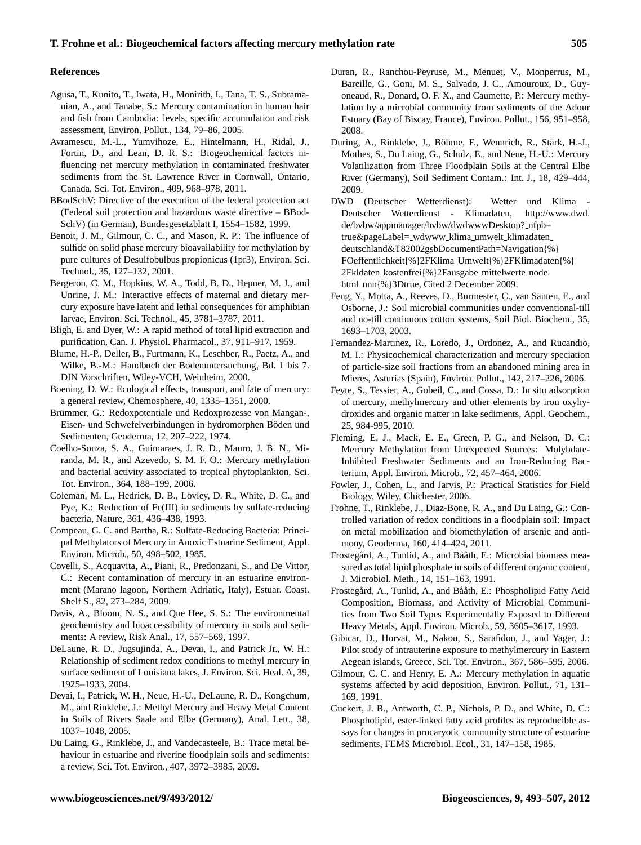## **References**

- Agusa, T., Kunito, T., Iwata, H., Monirith, I., Tana, T. S., Subramanian, A., and Tanabe, S.: Mercury contamination in human hair and fish from Cambodia: levels, specific accumulation and risk assessment, Environ. Pollut., 134, 79–86, 2005.
- Avramescu, M.-L., Yumvihoze, E., Hintelmann, H., Ridal, J., Fortin, D., and Lean, D. R. S.: Biogeochemical factors influencing net mercury methylation in contaminated freshwater sediments from the St. Lawrence River in Cornwall, Ontario, Canada, Sci. Tot. Environ., 409, 968–978, 2011.
- BBodSchV: Directive of the execution of the federal protection act (Federal soil protection and hazardous waste directive – BBod-SchV) (in German), Bundesgesetzblatt I, 1554–1582, 1999.
- Benoit, J. M., Gilmour, C. C., and Mason, R. P.: The influence of sulfide on solid phase mercury bioavailability for methylation by pure cultures of Desulfobulbus propionicus (1pr3), Environ. Sci. Technol., 35, 127–132, 2001.
- Bergeron, C. M., Hopkins, W. A., Todd, B. D., Hepner, M. J., and Unrine, J. M.: Interactive effects of maternal and dietary mercury exposure have latent and lethal consequences for amphibian larvae, Environ. Sci. Technol., 45, 3781–3787, 2011.
- Bligh, E. and Dyer, W.: A rapid method of total lipid extraction and purification, Can. J. Physiol. Pharmacol., 37, 911–917, 1959.
- Blume, H.-P., Deller, B., Furtmann, K., Leschber, R., Paetz, A., and Wilke, B.-M.: Handbuch der Bodenuntersuchung, Bd. 1 bis 7. DIN Vorschriften, Wiley-VCH, Weinheim, 2000.
- Boening, D. W.: Ecological effects, transport, and fate of mercury: a general review, Chemosphere, 40, 1335–1351, 2000.
- Brümmer, G.: Redoxpotentiale und Redoxprozesse von Mangan-, Eisen- und Schwefelverbindungen in hydromorphen Böden und Sedimenten, Geoderma, 12, 207–222, 1974.
- Coelho-Souza, S. A., Guimaraes, J. R. D., Mauro, J. B. N., Miranda, M. R., and Azevedo, S. M. F. O.: Mercury methylation and bacterial activity associated to tropical phytoplankton, Sci. Tot. Environ., 364, 188–199, 2006.
- Coleman, M. L., Hedrick, D. B., Lovley, D. R., White, D. C., and Pye, K.: Reduction of Fe(III) in sediments by sulfate-reducing bacteria, Nature, 361, 436–438, 1993.
- Compeau, G. C. and Bartha, R.: Sulfate-Reducing Bacteria: Principal Methylators of Mercury in Anoxic Estuarine Sediment, Appl. Environ. Microb., 50, 498–502, 1985.
- Covelli, S., Acquavita, A., Piani, R., Predonzani, S., and De Vittor, C.: Recent contamination of mercury in an estuarine environment (Marano lagoon, Northern Adriatic, Italy), Estuar. Coast. Shelf S., 82, 273–284, 2009.
- Davis, A., Bloom, N. S., and Que Hee, S. S.: The environmental geochemistry and bioaccessibility of mercury in soils and sediments: A review, Risk Anal., 17, 557–569, 1997.
- DeLaune, R. D., Jugsujinda, A., Devai, I., and Patrick Jr., W. H.: Relationship of sediment redox conditions to methyl mercury in surface sediment of Louisiana lakes, J. Environ. Sci. Heal. A, 39, 1925–1933, 2004.
- Devai, I., Patrick, W. H., Neue, H.-U., DeLaune, R. D., Kongchum, M., and Rinklebe, J.: Methyl Mercury and Heavy Metal Content in Soils of Rivers Saale and Elbe (Germany), Anal. Lett., 38, 1037–1048, 2005.
- Du Laing, G., Rinklebe, J., and Vandecasteele, B.: Trace metal behaviour in estuarine and riverine floodplain soils and sediments: a review, Sci. Tot. Environ., 407, 3972–3985, 2009.
- Duran, R., Ranchou-Peyruse, M., Menuet, V., Monperrus, M., Bareille, G., Goni, M. S., Salvado, J. C., Amouroux, D., Guyoneaud, R., Donard, O. F. X., and Caumette, P.: Mercury methylation by a microbial community from sediments of the Adour Estuary (Bay of Biscay, France), Environ. Pollut., 156, 951–958, 2008.
- During, A., Rinklebe, J., Böhme, F., Wennrich, R., Stärk, H.-J., Mothes, S., Du Laing, G., Schulz, E., and Neue, H.-U.: Mercury Volatilization from Three Floodplain Soils at the Central Elbe River (Germany), Soil Sediment Contam.: Int. J., 18, 429–444, 2009.
- DWD (Deutscher Wetterdienst): Wetter und Klima Deutscher Wetterdienst - Klimadaten, [http://www.dwd.](http://www.dwd.de/bvbw/appmanager/bvbw/dwdwwwDesktop?_nfpb=true&pageLabel=_wdwww_klima_umwelt_klimadaten_deutschland&T82002gsbDocumentPath=Navigation{%}FOeffentlichkeit{%}2FKlima_Umwelt{%}2FKlimadaten{%}2Fkldaten_kostenfrei{%}2Fausgabe_mittelwerte_node.html_nnn{%}3Dtrue) [de/bvbw/appmanager/bvbw/dwdwwwDesktop?](http://www.dwd.de/bvbw/appmanager/bvbw/dwdwwwDesktop?_nfpb=true&pageLabel=_wdwww_klima_umwelt_klimadaten_deutschland&T82002gsbDocumentPath=Navigation{%}FOeffentlichkeit{%}2FKlima_Umwelt{%}2FKlimadaten{%}2Fkldaten_kostenfrei{%}2Fausgabe_mittelwerte_node.html_nnn{%}3Dtrue) nfpb= [true&pageLabel=](http://www.dwd.de/bvbw/appmanager/bvbw/dwdwwwDesktop?_nfpb=true&pageLabel=_wdwww_klima_umwelt_klimadaten_deutschland&T82002gsbDocumentPath=Navigation{%}FOeffentlichkeit{%}2FKlima_Umwelt{%}2FKlimadaten{%}2Fkldaten_kostenfrei{%}2Fausgabe_mittelwerte_node.html_nnn{%}3Dtrue) wdwww klima umwelt klimadaten [deutschland&T82002gsbDocumentPath=Navigation](http://www.dwd.de/bvbw/appmanager/bvbw/dwdwwwDesktop?_nfpb=true&pageLabel=_wdwww_klima_umwelt_klimadaten_deutschland&T82002gsbDocumentPath=Navigation{%}FOeffentlichkeit{%}2FKlima_Umwelt{%}2FKlimadaten{%}2Fkldaten_kostenfrei{%}2Fausgabe_mittelwerte_node.html_nnn{%}3Dtrue){%} [FOeffentlichkeit](http://www.dwd.de/bvbw/appmanager/bvbw/dwdwwwDesktop?_nfpb=true&pageLabel=_wdwww_klima_umwelt_klimadaten_deutschland&T82002gsbDocumentPath=Navigation{%}FOeffentlichkeit{%}2FKlima_Umwelt{%}2FKlimadaten{%}2Fkldaten_kostenfrei{%}2Fausgabe_mittelwerte_node.html_nnn{%}3Dtrue){%}2FKlima Umwelt{%}2FKlimadaten{%} 2Fkldaten kostenfrei{%}2Fausgabe [mittelwerte](http://www.dwd.de/bvbw/appmanager/bvbw/dwdwwwDesktop?_nfpb=true&pageLabel=_wdwww_klima_umwelt_klimadaten_deutschland&T82002gsbDocumentPath=Navigation{%}FOeffentlichkeit{%}2FKlima_Umwelt{%}2FKlimadaten{%}2Fkldaten_kostenfrei{%}2Fausgabe_mittelwerte_node.html_nnn{%}3Dtrue) node. html nnn{%}[3Dtrue,](http://www.dwd.de/bvbw/appmanager/bvbw/dwdwwwDesktop?_nfpb=true&pageLabel=_wdwww_klima_umwelt_klimadaten_deutschland&T82002gsbDocumentPath=Navigation{%}FOeffentlichkeit{%}2FKlima_Umwelt{%}2FKlimadaten{%}2Fkldaten_kostenfrei{%}2Fausgabe_mittelwerte_node.html_nnn{%}3Dtrue) Cited 2 December 2009.
- Feng, Y., Motta, A., Reeves, D., Burmester, C., van Santen, E., and Osborne, J.: Soil microbial communities under conventional-till and no-till continuous cotton systems, Soil Biol. Biochem., 35, 1693–1703, 2003.
- Fernandez-Martinez, R., Loredo, J., Ordonez, A., and Rucandio, M. I.: Physicochemical characterization and mercury speciation of particle-size soil fractions from an abandoned mining area in Mieres, Asturias (Spain), Environ. Pollut., 142, 217–226, 2006.
- Feyte, S., Tessier, A., Gobeil, C., and Cossa, D.: In situ adsorption of mercury, methylmercury and other elements by iron oxyhydroxides and organic matter in lake sediments, Appl. Geochem., 25, 984-995, 2010.
- Fleming, E. J., Mack, E. E., Green, P. G., and Nelson, D. C.: Mercury Methylation from Unexpected Sources: Molybdate-Inhibited Freshwater Sediments and an Iron-Reducing Bacterium, Appl. Environ. Microb., 72, 457–464, 2006.
- Fowler, J., Cohen, L., and Jarvis, P.: Practical Statistics for Field Biology, Wiley, Chichester, 2006.
- Frohne, T., Rinklebe, J., Diaz-Bone, R. A., and Du Laing, G.: Controlled variation of redox conditions in a floodplain soil: Impact on metal mobilization and biomethylation of arsenic and antimony, Geoderma, 160, 414–424, 2011.
- Frostegård, A., Tunlid, A., and Bååth, E.: Microbial biomass measured as total lipid phosphate in soils of different organic content, J. Microbiol. Meth., 14, 151–163, 1991.
- Frostegård, A., Tunlid, A., and Bååth, E.: Phospholipid Fatty Acid Composition, Biomass, and Activity of Microbial Communities from Two Soil Types Experimentally Exposed to Different Heavy Metals, Appl. Environ. Microb., 59, 3605–3617, 1993.
- Gibicar, D., Horvat, M., Nakou, S., Sarafidou, J., and Yager, J.: Pilot study of intrauterine exposure to methylmercury in Eastern Aegean islands, Greece, Sci. Tot. Environ., 367, 586–595, 2006.
- Gilmour, C. C. and Henry, E. A.: Mercury methylation in aquatic systems affected by acid deposition, Environ. Pollut., 71, 131– 169, 1991.
- Guckert, J. B., Antworth, C. P., Nichols, P. D., and White, D. C.: Phospholipid, ester-linked fatty acid profiles as reproducible assays for changes in procaryotic community structure of estuarine sediments, FEMS Microbiol. Ecol., 31, 147–158, 1985.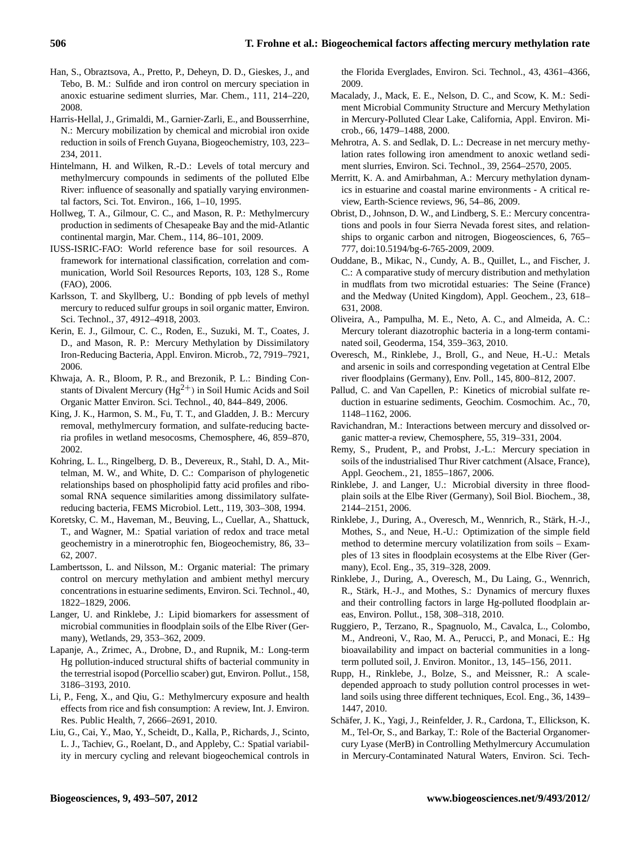- Han, S., Obraztsova, A., Pretto, P., Deheyn, D. D., Gieskes, J., and Tebo, B. M.: Sulfide and iron control on mercury speciation in anoxic estuarine sediment slurries, Mar. Chem., 111, 214–220, 2008.
- Harris-Hellal, J., Grimaldi, M., Garnier-Zarli, E., and Bousserrhine, N.: Mercury mobilization by chemical and microbial iron oxide reduction in soils of French Guyana, Biogeochemistry, 103, 223– 234, 2011.
- Hintelmann, H. and Wilken, R.-D.: Levels of total mercury and methylmercury compounds in sediments of the polluted Elbe River: influence of seasonally and spatially varying environmental factors, Sci. Tot. Environ., 166, 1–10, 1995.
- Hollweg, T. A., Gilmour, C. C., and Mason, R. P.: Methylmercury production in sediments of Chesapeake Bay and the mid-Atlantic continental margin, Mar. Chem., 114, 86–101, 2009.
- IUSS-ISRIC-FAO: World reference base for soil resources. A framework for international classification, correlation and communication, World Soil Resources Reports, 103, 128 S., Rome (FAO), 2006.
- Karlsson, T. and Skyllberg, U.: Bonding of ppb levels of methyl mercury to reduced sulfur groups in soil organic matter, Environ. Sci. Technol., 37, 4912–4918, 2003.
- Kerin, E. J., Gilmour, C. C., Roden, E., Suzuki, M. T., Coates, J. D., and Mason, R. P.: Mercury Methylation by Dissimilatory Iron-Reducing Bacteria, Appl. Environ. Microb., 72, 7919–7921, 2006.
- Khwaja, A. R., Bloom, P. R., and Brezonik, P. L.: Binding Constants of Divalent Mercury ( $Hg^{2+}$ ) in Soil Humic Acids and Soil Organic Matter Environ. Sci. Technol., 40, 844–849, 2006.
- King, J. K., Harmon, S. M., Fu, T. T., and Gladden, J. B.: Mercury removal, methylmercury formation, and sulfate-reducing bacteria profiles in wetland mesocosms, Chemosphere, 46, 859–870, 2002.
- Kohring, L. L., Ringelberg, D. B., Devereux, R., Stahl, D. A., Mittelman, M. W., and White, D. C.: Comparison of phylogenetic relationships based on phospholipid fatty acid profiles and ribosomal RNA sequence similarities among dissimilatory sulfatereducing bacteria, FEMS Microbiol. Lett., 119, 303–308, 1994.
- Koretsky, C. M., Haveman, M., Beuving, L., Cuellar, A., Shattuck, T., and Wagner, M.: Spatial variation of redox and trace metal geochemistry in a minerotrophic fen, Biogeochemistry, 86, 33– 62, 2007.
- Lambertsson, L. and Nilsson, M.: Organic material: The primary control on mercury methylation and ambient methyl mercury concentrations in estuarine sediments, Environ. Sci. Technol., 40, 1822–1829, 2006.
- Langer, U. and Rinklebe, J.: Lipid biomarkers for assessment of microbial communities in floodplain soils of the Elbe River (Germany), Wetlands, 29, 353–362, 2009.
- Lapanje, A., Zrimec, A., Drobne, D., and Rupnik, M.: Long-term Hg pollution-induced structural shifts of bacterial community in the terrestrial isopod (Porcellio scaber) gut, Environ. Pollut., 158, 3186–3193, 2010.
- Li, P., Feng, X., and Qiu, G.: Methylmercury exposure and health effects from rice and fish consumption: A review, Int. J. Environ. Res. Public Health, 7, 2666–2691, 2010.
- Liu, G., Cai, Y., Mao, Y., Scheidt, D., Kalla, P., Richards, J., Scinto, L. J., Tachiev, G., Roelant, D., and Appleby, C.: Spatial variability in mercury cycling and relevant biogeochemical controls in

the Florida Everglades, Environ. Sci. Technol., 43, 4361–4366, 2009.

- Macalady, J., Mack, E. E., Nelson, D. C., and Scow, K. M.: Sediment Microbial Community Structure and Mercury Methylation in Mercury-Polluted Clear Lake, California, Appl. Environ. Microb., 66, 1479–1488, 2000.
- Mehrotra, A. S. and Sedlak, D. L.: Decrease in net mercury methylation rates following iron amendment to anoxic wetland sediment slurries, Environ. Sci. Technol., 39, 2564–2570, 2005.
- Merritt, K. A. and Amirbahman, A.: Mercury methylation dynamics in estuarine and coastal marine environments - A critical review, Earth-Science reviews, 96, 54–86, 2009.
- Obrist, D., Johnson, D. W., and Lindberg, S. E.: Mercury concentrations and pools in four Sierra Nevada forest sites, and relationships to organic carbon and nitrogen, Biogeosciences, 6, 765– 777, [doi:10.5194/bg-6-765-2009,](http://dx.doi.org/10.5194/bg-6-765-2009) 2009.
- Ouddane, B., Mikac, N., Cundy, A. B., Quillet, L., and Fischer, J. C.: A comparative study of mercury distribution and methylation in mudflats from two microtidal estuaries: The Seine (France) and the Medway (United Kingdom), Appl. Geochem., 23, 618– 631, 2008.
- Oliveira, A., Pampulha, M. E., Neto, A. C., and Almeida, A. C.: Mercury tolerant diazotrophic bacteria in a long-term contaminated soil, Geoderma, 154, 359–363, 2010.
- Overesch, M., Rinklebe, J., Broll, G., and Neue, H.-U.: Metals and arsenic in soils and corresponding vegetation at Central Elbe river floodplains (Germany), Env. Poll., 145, 800–812, 2007.
- Pallud, C. and Van Capellen, P.: Kinetics of microbial sulfate reduction in estuarine sediments, Geochim. Cosmochim. Ac., 70, 1148–1162, 2006.
- Ravichandran, M.: Interactions between mercury and dissolved organic matter-a review, Chemosphere, 55, 319–331, 2004.
- Remy, S., Prudent, P., and Probst, J.-L.: Mercury speciation in soils of the industrialised Thur River catchment (Alsace, France), Appl. Geochem., 21, 1855–1867, 2006.
- Rinklebe, J. and Langer, U.: Microbial diversity in three floodplain soils at the Elbe River (Germany), Soil Biol. Biochem., 38, 2144–2151, 2006.
- Rinklebe, J., During, A., Overesch, M., Wennrich, R., Stark, H.-J., ¨ Mothes, S., and Neue, H.-U.: Optimization of the simple field method to determine mercury volatilization from soils – Examples of 13 sites in floodplain ecosystems at the Elbe River (Germany), Ecol. Eng., 35, 319–328, 2009.
- Rinklebe, J., During, A., Overesch, M., Du Laing, G., Wennrich, R., Stärk, H.-J., and Mothes, S.: Dynamics of mercury fluxes and their controlling factors in large Hg-polluted floodplain areas, Environ. Pollut., 158, 308–318, 2010.
- Ruggiero, P., Terzano, R., Spagnuolo, M., Cavalca, L., Colombo, M., Andreoni, V., Rao, M. A., Perucci, P., and Monaci, E.: Hg bioavailability and impact on bacterial communities in a longterm polluted soil, J. Environ. Monitor., 13, 145–156, 2011.
- Rupp, H., Rinklebe, J., Bolze, S., and Meissner, R.: A scaledepended approach to study pollution control processes in wetland soils using three different techniques, Ecol. Eng., 36, 1439– 1447, 2010.
- Schäfer, J. K., Yagi, J., Reinfelder, J. R., Cardona, T., Ellickson, K. M., Tel-Or, S., and Barkay, T.: Role of the Bacterial Organomercury Lyase (MerB) in Controlling Methylmercury Accumulation in Mercury-Contaminated Natural Waters, Environ. Sci. Tech-